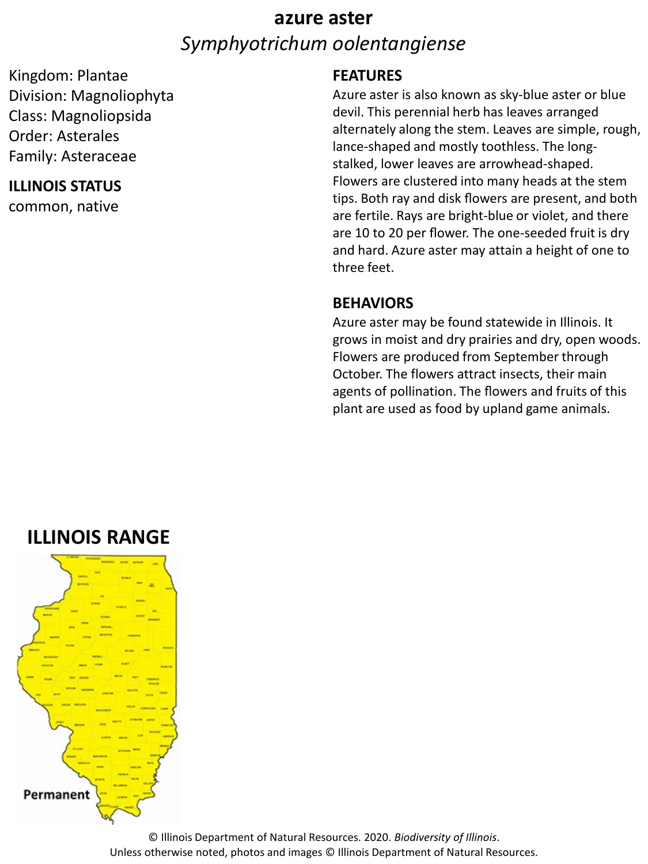# **azure aster** *Symphyotrichum oolentangiense*

Kingdom: Plantae Division: Magnoliophyta Class: Magnoliopsida Order: Asterales Family: Asteraceae

#### **ILLINOIS STATUS**

common, native

#### **FEATURES**

Azure aster is also known as sky-blue aster or blue devil. This perennial herb has leaves arranged alternately along the stem. Leaves are simple, rough, lance-shaped and mostly toothless. The longstalked, lower leaves are arrowhead-shaped. Flowers are clustered into many heads at the stem tips. Both ray and disk flowers are present, and both are fertile. Rays are bright-blue or violet, and there are 10 to 20 per flower. The one-seeded fruit is dry and hard. Azure aster may attain a height of one to three feet.

#### **BEHAVIORS**

Azure aster may be found statewide in Illinois. It grows in moist and dry prairies and dry, open woods. Flowers are produced from September through October. The flowers attract insects, their main agents of pollination. The flowers and fruits of this plant are used as food by upland game animals.

## **ILLINOIS RANGE**



© Illinois Department of Natural Resources. 2020. *Biodiversity of Illinois*. Unless otherwise noted, photos and images © Illinois Department of Natural Resources.